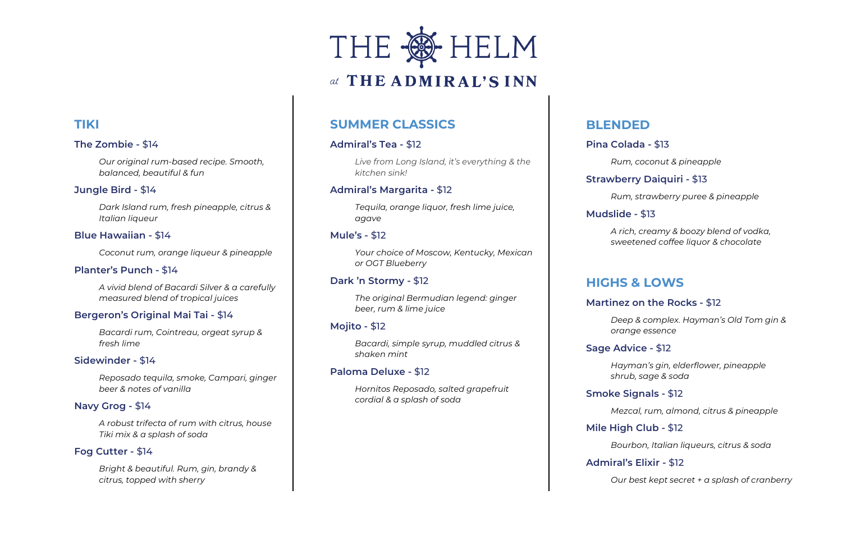# **TIKI**

#### **The Zombie -** \$14

*Our original rum-based recipe. Smooth, balanced, beautiful & fun*

#### **Jungle Bird -** \$14

*Dark Island rum, fresh pineapple, citrus & Italian liqueur* 

#### **Blue Hawaiian -** \$14

*Coconut rum, orange liqueur & pineapple*

#### **Planter's Punch -** \$14

*A vivid blend of Bacardi Silver & a carefully measured blend of tropical juices*

#### **Bergeron's Original Mai Tai -** \$14

*Bacardi rum, Cointreau, orgeat syrup & fresh lime*

#### **Sidewinder -** \$14

*Reposado tequila, smoke, Campari, ginger beer & notes of vanilla*

#### **Navy Grog -** \$14

*A robust trifecta of rum with citrus, house Tiki mix & a splash of soda*

#### **Fog Cutter -** \$14

*Bright & beautiful. Rum, gin, brandy & citrus, topped with sherry*



# at THE ADMIRAL'S INN

# **SUMMER CLASSICS**

#### **Admiral's Tea -** \$12

*Live from Long Island, it's everything & the kitchen sink!* 

#### **Admiral's Margarita -** \$12

*Tequila, orange liquor, fresh lime juice, agave* 

#### **Mule's -** \$12

*Your choice of Moscow, Kentucky, Mexican or OGT Blueberry*

#### **Dark 'n Stormy -** \$12

*The original Bermudian legend: ginger beer, rum & lime juice*

#### **Mojito -** \$12

*Bacardi, simple syrup, muddled citrus & shaken mint*

#### **Paloma Deluxe -** \$12

*Hornitos Reposado, salted grapefruit cordial & a splash of soda*

# **BLENDED**

## **Pina Colada -** \$13

*Rum, coconut & pineapple*

## **Strawberry Daiquiri -** \$13

*Rum, strawberry puree & pineapple*

## **Mudslide -** \$13

*A rich, creamy & boozy blend of vodka, sweetened coffee liquor & chocolate*

# **HIGHS & LOWS**

#### **Martinez on the Rocks -** \$12

*Deep & complex. Hayman's Old Tom gin & orange essence*

## **Sage Advice -** \$12

*Hayman's gin, elderflower, pineapple shrub, sage & soda* 

# **Smoke Signals -** \$12

*Mezcal, rum, almond, citrus & pineapple*

#### **Mile High Club -** \$12

*Bourbon, Italian liqueurs, citrus & soda*

## **Admiral's Elixir -** \$12

*Our best kept secret + a splash of cranberry*